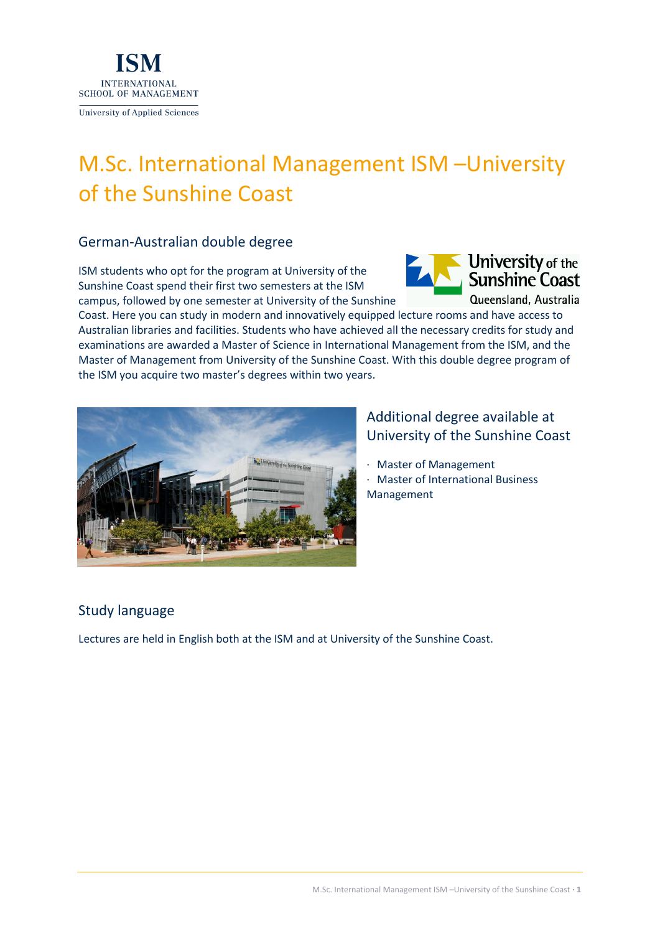

# M.Sc. International Management ISM –University of the Sunshine Coast

### German-Australian double degree

ISM students who opt for the program at University of the Sunshine Coast spend their first two semesters at the ISM campus, followed by one semester at University of the Sunshine



Coast. Here you can study in modern and innovatively equipped lecture rooms and have access to Australian libraries and facilities. Students who have achieved all the necessary credits for study and examinations are awarded a Master of Science in International Management from the ISM, and the Master of Management from University of the Sunshine Coast. With this double degree program of the ISM you acquire two master's degrees within two years.



# Additional degree available at University of the Sunshine Coast

- · Master of Management
- · Master of International Business Management

# Study language

Lectures are held in English both at the ISM and at University of the Sunshine Coast.